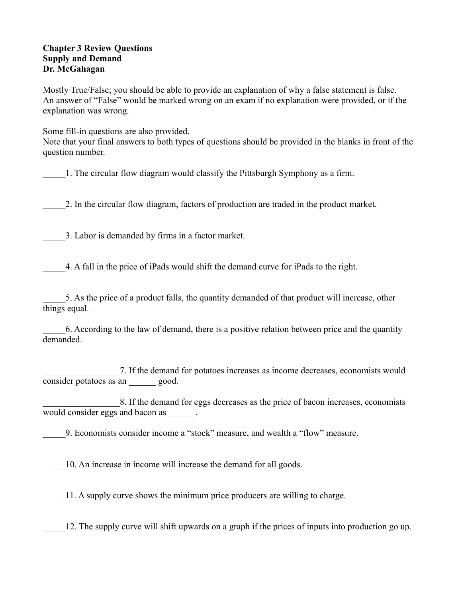## **Chapter 3 Review Questions Supply and Demand Dr. McGahagan**

Mostly True/False; you should be able to provide an explanation of why a false statement is false. An answer of "False" would be marked wrong on an exam if no explanation were provided, or if the explanation was wrong.

Some fill-in questions are also provided.

Note that your final answers to both types of questions should be provided in the blanks in front of the question number.

\_\_\_\_\_1. The circular flow diagram would classify the Pittsburgh Symphony as a firm.

\_\_\_\_\_2. In the circular flow diagram, factors of production are traded in the product market.

\_\_\_\_\_3. Labor is demanded by firms in a factor market.

\_\_\_\_\_4. A fall in the price of iPads would shift the demand curve for iPads to the right.

\_\_\_\_\_5. As the price of a product falls, the quantity demanded of that product will increase, other things equal.

\_\_\_\_\_6. According to the law of demand, there is a positive relation between price and the quantity demanded.

\_\_\_\_\_\_\_\_\_\_\_\_\_\_\_\_\_7. If the demand for potatoes increases as income decreases, economists would consider potatoes as an  $\qquad \qquad \text{good.}$ 

8. If the demand for eggs decreases as the price of bacon increases, economists would consider eggs and bacon as  $\qquad \qquad$ .

\_\_\_\_\_9. Economists consider income a "stock" measure, and wealth a "flow" measure.

\_\_\_\_\_10. An increase in income will increase the demand for all goods.

\_\_\_\_\_11. A supply curve shows the minimum price producers are willing to charge.

\_\_\_\_\_12. The supply curve will shift upwards on a graph if the prices of inputs into production go up.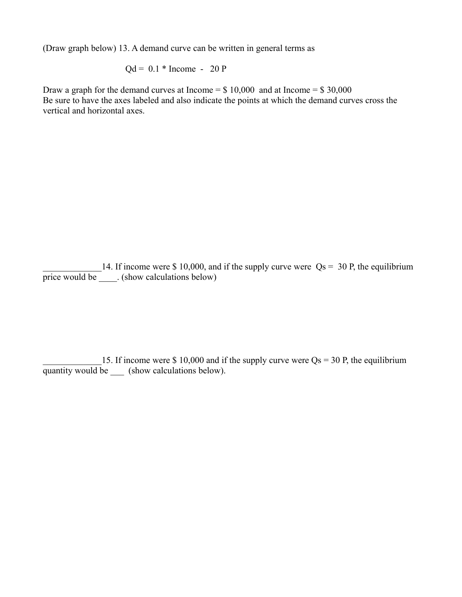(Draw graph below) 13. A demand curve can be written in general terms as

$$
Qd = 0.1 * Income - 20 P
$$

Draw a graph for the demand curves at Income  $= $10,000$  and at Income  $= $30,000$ Be sure to have the axes labeled and also indicate the points at which the demand curves cross the vertical and horizontal axes.

14. If income were \$ 10,000, and if the supply curve were  $\text{Qs} = 30 \text{ P}$ , the equilibrium price would be \_\_\_\_\_. (show calculations below)

15. If income were \$ 10,000 and if the supply curve were  $Qs = 30$  P, the equilibrium quantity would be \_\_\_\_ (show calculations below).